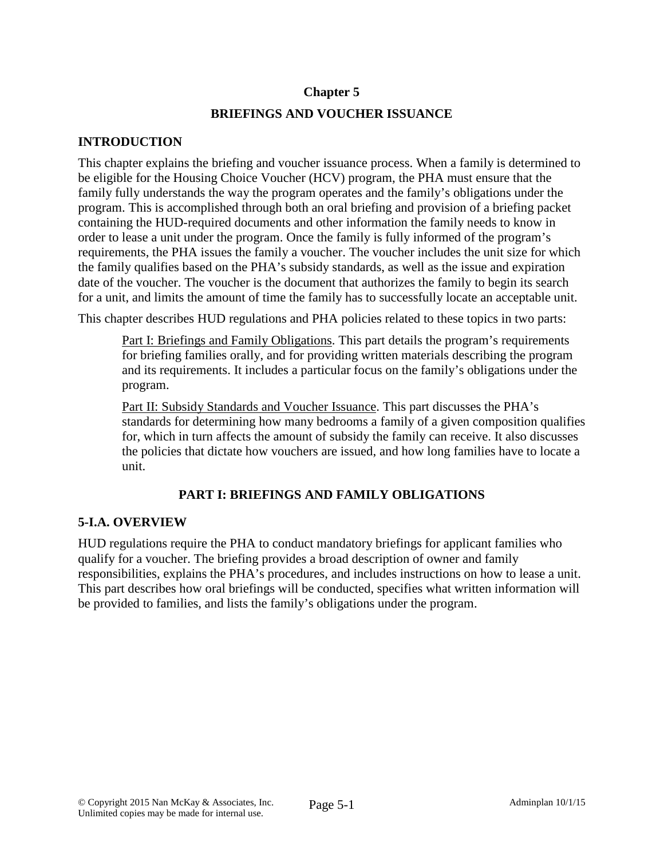### **Chapter 5**

### **BRIEFINGS AND VOUCHER ISSUANCE**

### **INTRODUCTION**

This chapter explains the briefing and voucher issuance process. When a family is determined to be eligible for the Housing Choice Voucher (HCV) program, the PHA must ensure that the family fully understands the way the program operates and the family's obligations under the program. This is accomplished through both an oral briefing and provision of a briefing packet containing the HUD-required documents and other information the family needs to know in order to lease a unit under the program. Once the family is fully informed of the program's requirements, the PHA issues the family a voucher. The voucher includes the unit size for which the family qualifies based on the PHA's subsidy standards, as well as the issue and expiration date of the voucher. The voucher is the document that authorizes the family to begin its search for a unit, and limits the amount of time the family has to successfully locate an acceptable unit.

This chapter describes HUD regulations and PHA policies related to these topics in two parts:

Part I: Briefings and Family Obligations. This part details the program's requirements for briefing families orally, and for providing written materials describing the program and its requirements. It includes a particular focus on the family's obligations under the program.

Part II: Subsidy Standards and Voucher Issuance. This part discusses the PHA's standards for determining how many bedrooms a family of a given composition qualifies for, which in turn affects the amount of subsidy the family can receive. It also discusses the policies that dictate how vouchers are issued, and how long families have to locate a unit.

# **PART I: BRIEFINGS AND FAMILY OBLIGATIONS**

### **5-I.A. OVERVIEW**

HUD regulations require the PHA to conduct mandatory briefings for applicant families who qualify for a voucher. The briefing provides a broad description of owner and family responsibilities, explains the PHA's procedures, and includes instructions on how to lease a unit. This part describes how oral briefings will be conducted, specifies what written information will be provided to families, and lists the family's obligations under the program.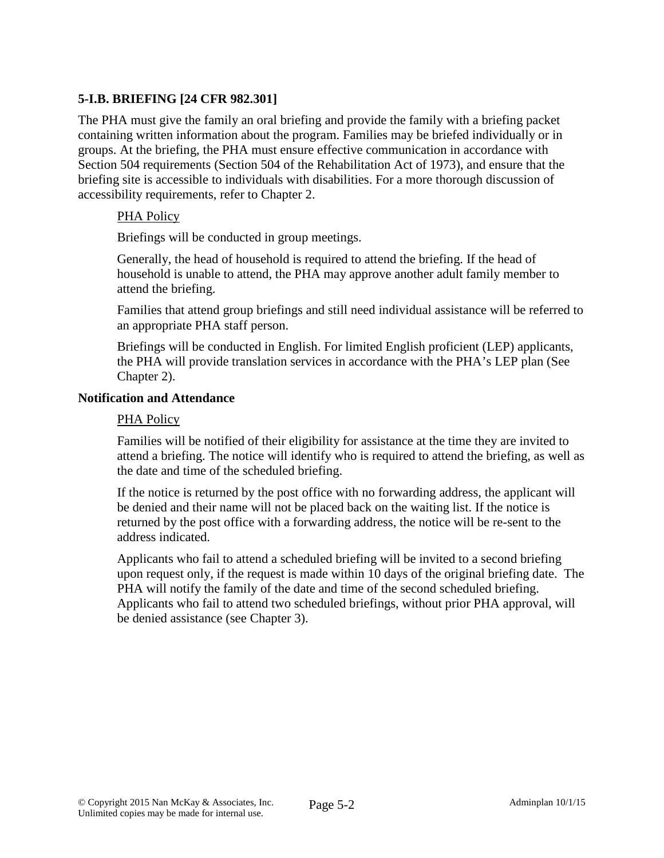## **5-I.B. BRIEFING [24 CFR 982.301]**

The PHA must give the family an oral briefing and provide the family with a briefing packet containing written information about the program. Families may be briefed individually or in groups. At the briefing, the PHA must ensure effective communication in accordance with Section 504 requirements (Section 504 of the Rehabilitation Act of 1973), and ensure that the briefing site is accessible to individuals with disabilities. For a more thorough discussion of accessibility requirements, refer to Chapter 2.

#### PHA Policy

Briefings will be conducted in group meetings.

Generally, the head of household is required to attend the briefing. If the head of household is unable to attend, the PHA may approve another adult family member to attend the briefing.

Families that attend group briefings and still need individual assistance will be referred to an appropriate PHA staff person.

Briefings will be conducted in English. For limited English proficient (LEP) applicants, the PHA will provide translation services in accordance with the PHA's LEP plan (See Chapter 2).

### **Notification and Attendance**

#### PHA Policy

Families will be notified of their eligibility for assistance at the time they are invited to attend a briefing. The notice will identify who is required to attend the briefing, as well as the date and time of the scheduled briefing.

If the notice is returned by the post office with no forwarding address, the applicant will be denied and their name will not be placed back on the waiting list. If the notice is returned by the post office with a forwarding address, the notice will be re-sent to the address indicated.

Applicants who fail to attend a scheduled briefing will be invited to a second briefing upon request only, if the request is made within 10 days of the original briefing date. The PHA will notify the family of the date and time of the second scheduled briefing. Applicants who fail to attend two scheduled briefings, without prior PHA approval, will be denied assistance (see Chapter 3).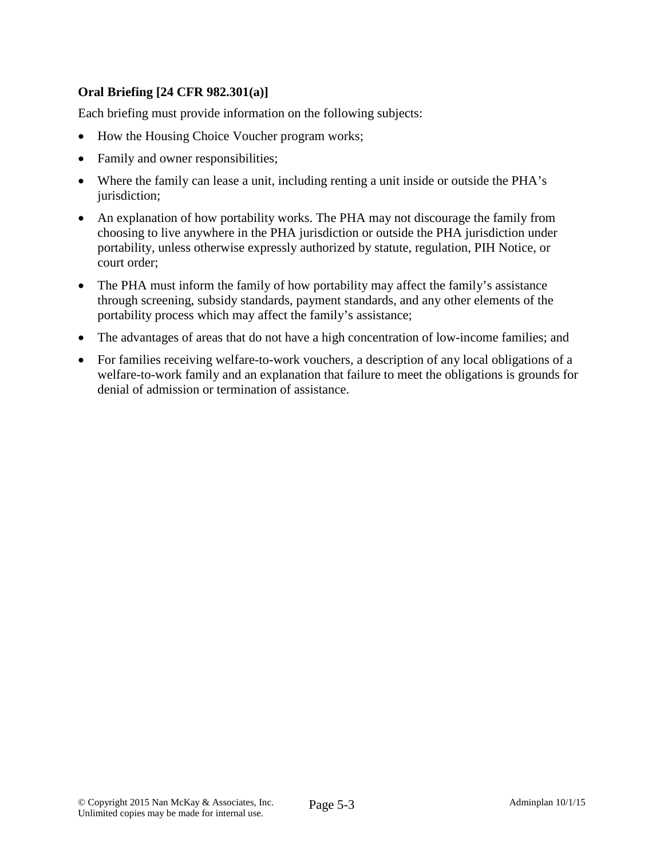# **Oral Briefing [24 CFR 982.301(a)]**

Each briefing must provide information on the following subjects:

- How the Housing Choice Voucher program works;
- Family and owner responsibilities;
- Where the family can lease a unit, including renting a unit inside or outside the PHA's jurisdiction;
- An explanation of how portability works. The PHA may not discourage the family from choosing to live anywhere in the PHA jurisdiction or outside the PHA jurisdiction under portability, unless otherwise expressly authorized by statute, regulation, PIH Notice, or court order;
- The PHA must inform the family of how portability may affect the family's assistance through screening, subsidy standards, payment standards, and any other elements of the portability process which may affect the family's assistance;
- The advantages of areas that do not have a high concentration of low-income families; and
- For families receiving welfare-to-work vouchers, a description of any local obligations of a welfare-to-work family and an explanation that failure to meet the obligations is grounds for denial of admission or termination of assistance.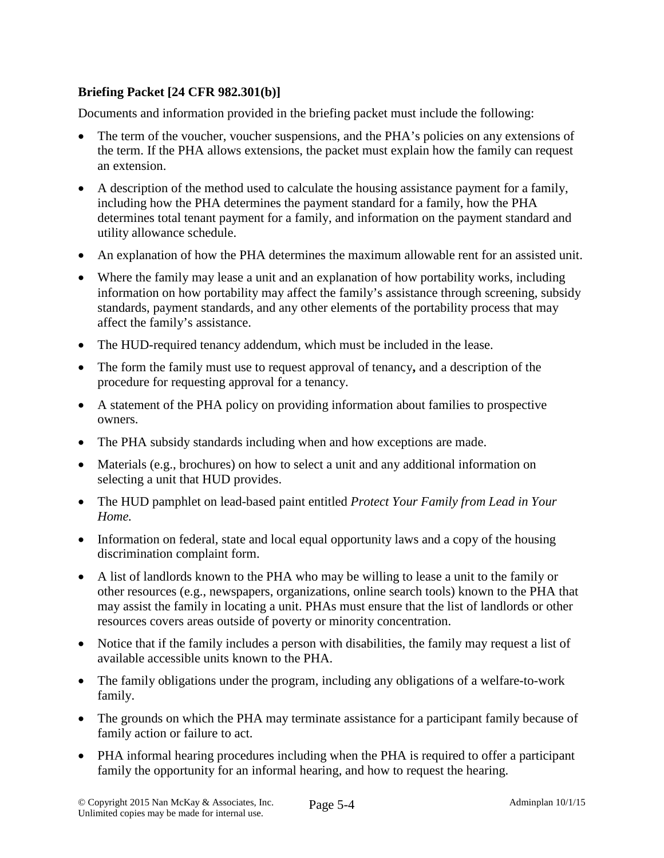# **Briefing Packet [24 CFR 982.301(b)]**

Documents and information provided in the briefing packet must include the following:

- The term of the voucher, voucher suspensions, and the PHA's policies on any extensions of the term. If the PHA allows extensions, the packet must explain how the family can request an extension.
- A description of the method used to calculate the housing assistance payment for a family, including how the PHA determines the payment standard for a family, how the PHA determines total tenant payment for a family, and information on the payment standard and utility allowance schedule.
- An explanation of how the PHA determines the maximum allowable rent for an assisted unit.
- Where the family may lease a unit and an explanation of how portability works, including information on how portability may affect the family's assistance through screening, subsidy standards, payment standards, and any other elements of the portability process that may affect the family's assistance.
- The HUD-required tenancy addendum, which must be included in the lease.
- The form the family must use to request approval of tenancy**,** and a description of the procedure for requesting approval for a tenancy.
- A statement of the PHA policy on providing information about families to prospective owners.
- The PHA subsidy standards including when and how exceptions are made.
- Materials (e.g., brochures) on how to select a unit and any additional information on selecting a unit that HUD provides.
- The HUD pamphlet on lead-based paint entitled *Protect Your Family from Lead in Your Home.*
- Information on federal, state and local equal opportunity laws and a copy of the housing discrimination complaint form.
- A list of landlords known to the PHA who may be willing to lease a unit to the family or other resources (e.g., newspapers, organizations, online search tools) known to the PHA that may assist the family in locating a unit. PHAs must ensure that the list of landlords or other resources covers areas outside of poverty or minority concentration.
- Notice that if the family includes a person with disabilities, the family may request a list of available accessible units known to the PHA.
- The family obligations under the program, including any obligations of a welfare-to-work family.
- The grounds on which the PHA may terminate assistance for a participant family because of family action or failure to act.
- PHA informal hearing procedures including when the PHA is required to offer a participant family the opportunity for an informal hearing, and how to request the hearing.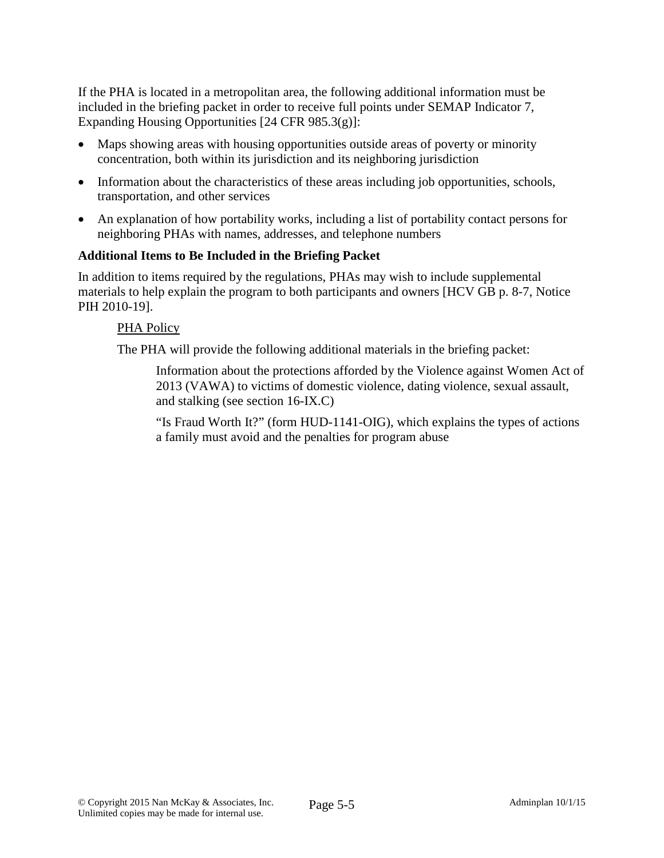If the PHA is located in a metropolitan area, the following additional information must be included in the briefing packet in order to receive full points under SEMAP Indicator 7, Expanding Housing Opportunities [24 CFR 985.3(g)]:

- Maps showing areas with housing opportunities outside areas of poverty or minority concentration, both within its jurisdiction and its neighboring jurisdiction
- Information about the characteristics of these areas including job opportunities, schools, transportation, and other services
- An explanation of how portability works, including a list of portability contact persons for neighboring PHAs with names, addresses, and telephone numbers

### **Additional Items to Be Included in the Briefing Packet**

In addition to items required by the regulations, PHAs may wish to include supplemental materials to help explain the program to both participants and owners [HCV GB p. 8-7, Notice PIH 2010-19].

### PHA Policy

The PHA will provide the following additional materials in the briefing packet:

Information about the protections afforded by the Violence against Women Act of 2013 (VAWA) to victims of domestic violence, dating violence, sexual assault, and stalking (see section 16-IX.C)

"Is Fraud Worth It?" (form HUD-1141-OIG), which explains the types of actions a family must avoid and the penalties for program abuse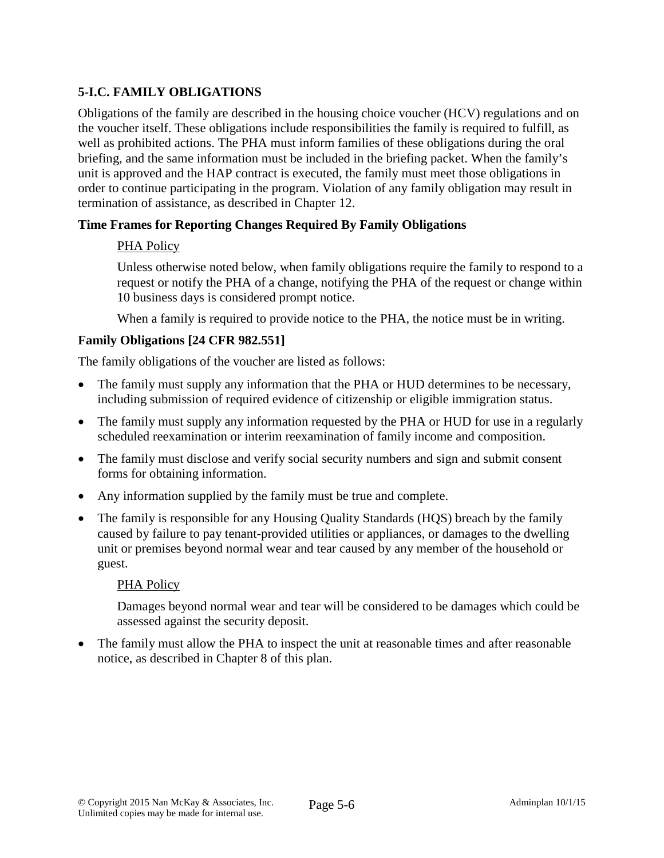# **5-I.C. FAMILY OBLIGATIONS**

Obligations of the family are described in the housing choice voucher (HCV) regulations and on the voucher itself. These obligations include responsibilities the family is required to fulfill, as well as prohibited actions. The PHA must inform families of these obligations during the oral briefing, and the same information must be included in the briefing packet. When the family's unit is approved and the HAP contract is executed, the family must meet those obligations in order to continue participating in the program. Violation of any family obligation may result in termination of assistance, as described in Chapter 12.

### **Time Frames for Reporting Changes Required By Family Obligations**

### PHA Policy

Unless otherwise noted below, when family obligations require the family to respond to a request or notify the PHA of a change, notifying the PHA of the request or change within 10 business days is considered prompt notice.

When a family is required to provide notice to the PHA, the notice must be in writing.

### **Family Obligations [24 CFR 982.551]**

The family obligations of the voucher are listed as follows:

- The family must supply any information that the PHA or HUD determines to be necessary, including submission of required evidence of citizenship or eligible immigration status.
- The family must supply any information requested by the PHA or HUD for use in a regularly scheduled reexamination or interim reexamination of family income and composition.
- The family must disclose and verify social security numbers and sign and submit consent forms for obtaining information.
- Any information supplied by the family must be true and complete.
- The family is responsible for any Housing Quality Standards (HQS) breach by the family caused by failure to pay tenant-provided utilities or appliances, or damages to the dwelling unit or premises beyond normal wear and tear caused by any member of the household or guest.

#### PHA Policy

Damages beyond normal wear and tear will be considered to be damages which could be assessed against the security deposit.

• The family must allow the PHA to inspect the unit at reasonable times and after reasonable notice, as described in Chapter 8 of this plan.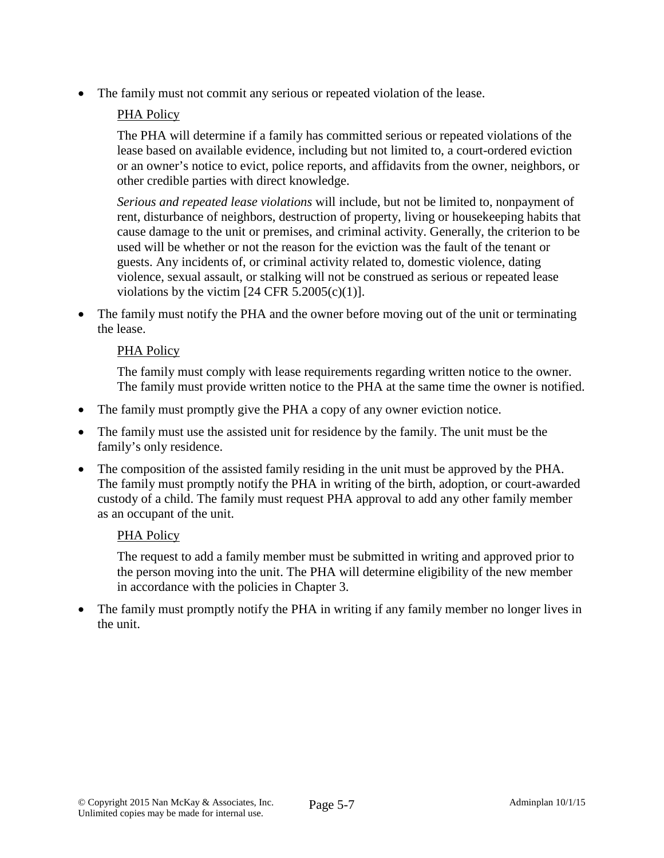The family must not commit any serious or repeated violation of the lease.

# PHA Policy

The PHA will determine if a family has committed serious or repeated violations of the lease based on available evidence, including but not limited to, a court-ordered eviction or an owner's notice to evict, police reports, and affidavits from the owner, neighbors, or other credible parties with direct knowledge.

*Serious and repeated lease violations* will include, but not be limited to, nonpayment of rent, disturbance of neighbors, destruction of property, living or housekeeping habits that cause damage to the unit or premises, and criminal activity. Generally, the criterion to be used will be whether or not the reason for the eviction was the fault of the tenant or guests. Any incidents of, or criminal activity related to, domestic violence, dating violence, sexual assault, or stalking will not be construed as serious or repeated lease violations by the victim  $[24 \text{ CFR } 5.2005(c)(1)].$ 

• The family must notify the PHA and the owner before moving out of the unit or terminating the lease.

### PHA Policy

The family must comply with lease requirements regarding written notice to the owner. The family must provide written notice to the PHA at the same time the owner is notified.

- The family must promptly give the PHA a copy of any owner eviction notice.
- The family must use the assisted unit for residence by the family. The unit must be the family's only residence.
- The composition of the assisted family residing in the unit must be approved by the PHA. The family must promptly notify the PHA in writing of the birth, adoption, or court-awarded custody of a child. The family must request PHA approval to add any other family member as an occupant of the unit.

### PHA Policy

The request to add a family member must be submitted in writing and approved prior to the person moving into the unit. The PHA will determine eligibility of the new member in accordance with the policies in Chapter 3.

• The family must promptly notify the PHA in writing if any family member no longer lives in the unit.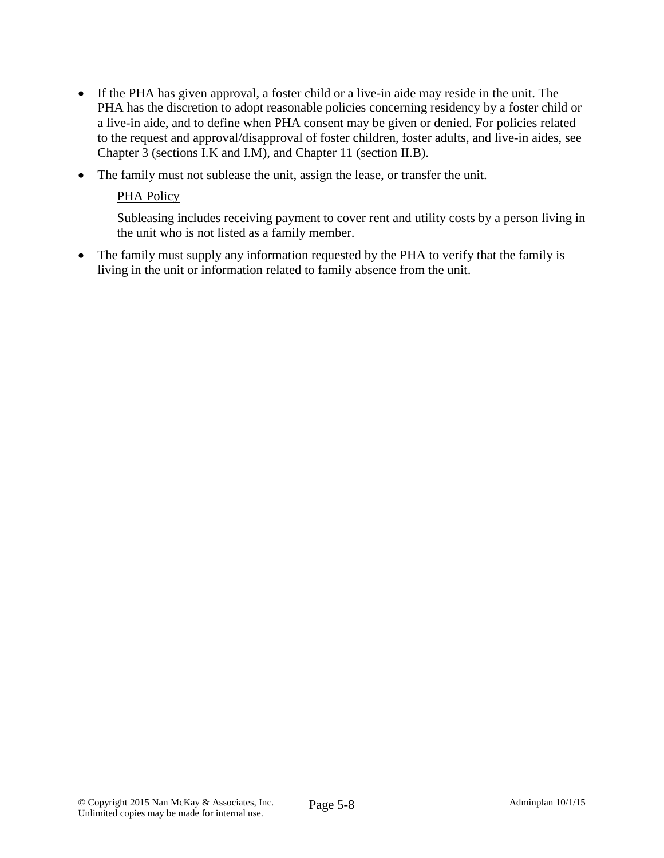- If the PHA has given approval, a foster child or a live-in aide may reside in the unit. The PHA has the discretion to adopt reasonable policies concerning residency by a foster child or a live-in aide, and to define when PHA consent may be given or denied. For policies related to the request and approval/disapproval of foster children, foster adults, and live-in aides, see Chapter 3 (sections I.K and I.M), and Chapter 11 (section II.B).
- The family must not sublease the unit, assign the lease, or transfer the unit.

## PHA Policy

Subleasing includes receiving payment to cover rent and utility costs by a person living in the unit who is not listed as a family member.

• The family must supply any information requested by the PHA to verify that the family is living in the unit or information related to family absence from the unit.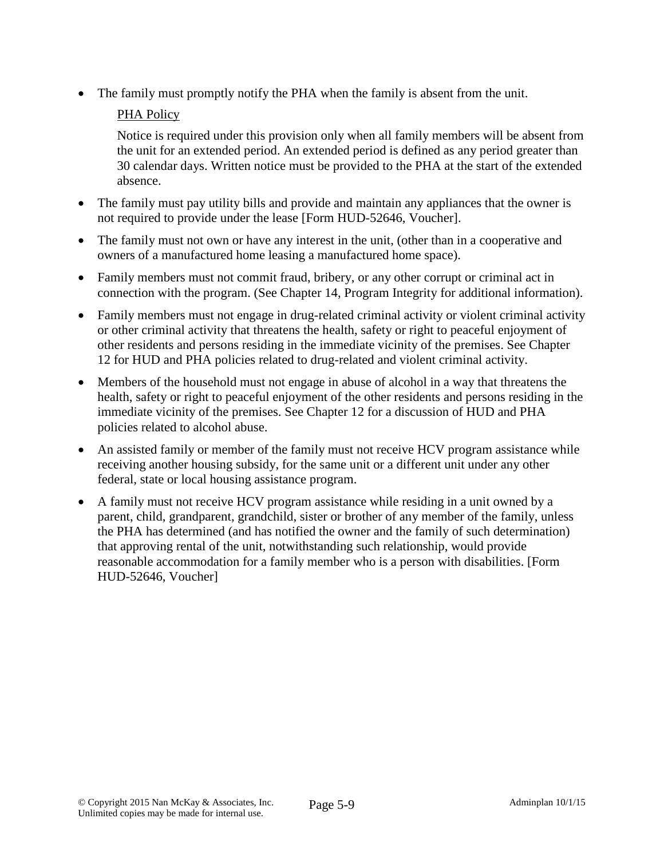• The family must promptly notify the PHA when the family is absent from the unit.

# PHA Policy

Notice is required under this provision only when all family members will be absent from the unit for an extended period. An extended period is defined as any period greater than 30 calendar days. Written notice must be provided to the PHA at the start of the extended absence.

- The family must pay utility bills and provide and maintain any appliances that the owner is not required to provide under the lease [Form HUD-52646, Voucher].
- The family must not own or have any interest in the unit, (other than in a cooperative and owners of a manufactured home leasing a manufactured home space).
- Family members must not commit fraud, bribery, or any other corrupt or criminal act in connection with the program. (See Chapter 14, Program Integrity for additional information).
- Family members must not engage in drug-related criminal activity or violent criminal activity or other criminal activity that threatens the health, safety or right to peaceful enjoyment of other residents and persons residing in the immediate vicinity of the premises. See Chapter 12 for HUD and PHA policies related to drug-related and violent criminal activity.
- Members of the household must not engage in abuse of alcohol in a way that threatens the health, safety or right to peaceful enjoyment of the other residents and persons residing in the immediate vicinity of the premises. See Chapter 12 for a discussion of HUD and PHA policies related to alcohol abuse.
- An assisted family or member of the family must not receive HCV program assistance while receiving another housing subsidy, for the same unit or a different unit under any other federal, state or local housing assistance program.
- A family must not receive HCV program assistance while residing in a unit owned by a parent, child, grandparent, grandchild, sister or brother of any member of the family, unless the PHA has determined (and has notified the owner and the family of such determination) that approving rental of the unit, notwithstanding such relationship, would provide reasonable accommodation for a family member who is a person with disabilities. [Form HUD-52646, Voucher]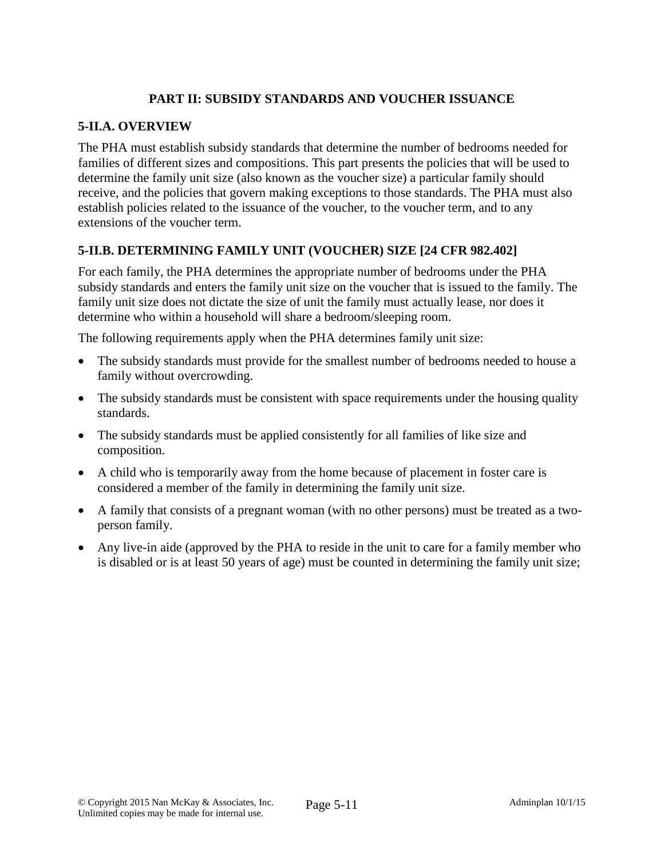## **PART II: SUBSIDY STANDARDS AND VOUCHER ISSUANCE**

### **5-II.A. OVERVIEW**

The PHA must establish subsidy standards that determine the number of bedrooms needed for families of different sizes and compositions. This part presents the policies that will be used to determine the family unit size (also known as the voucher size) a particular family should receive, and the policies that govern making exceptions to those standards. The PHA must also establish policies related to the issuance of the voucher, to the voucher term, and to any extensions of the voucher term.

# **5-II.B. DETERMINING FAMILY UNIT (VOUCHER) SIZE [24 CFR 982.402]**

For each family, the PHA determines the appropriate number of bedrooms under the PHA subsidy standards and enters the family unit size on the voucher that is issued to the family. The family unit size does not dictate the size of unit the family must actually lease, nor does it determine who within a household will share a bedroom/sleeping room.

The following requirements apply when the PHA determines family unit size:

- The subsidy standards must provide for the smallest number of bedrooms needed to house a family without overcrowding.
- The subsidy standards must be consistent with space requirements under the housing quality standards.
- The subsidy standards must be applied consistently for all families of like size and composition.
- A child who is temporarily away from the home because of placement in foster care is considered a member of the family in determining the family unit size.
- A family that consists of a pregnant woman (with no other persons) must be treated as a twoperson family.
- Any live-in aide (approved by the PHA to reside in the unit to care for a family member who is disabled or is at least 50 years of age) must be counted in determining the family unit size;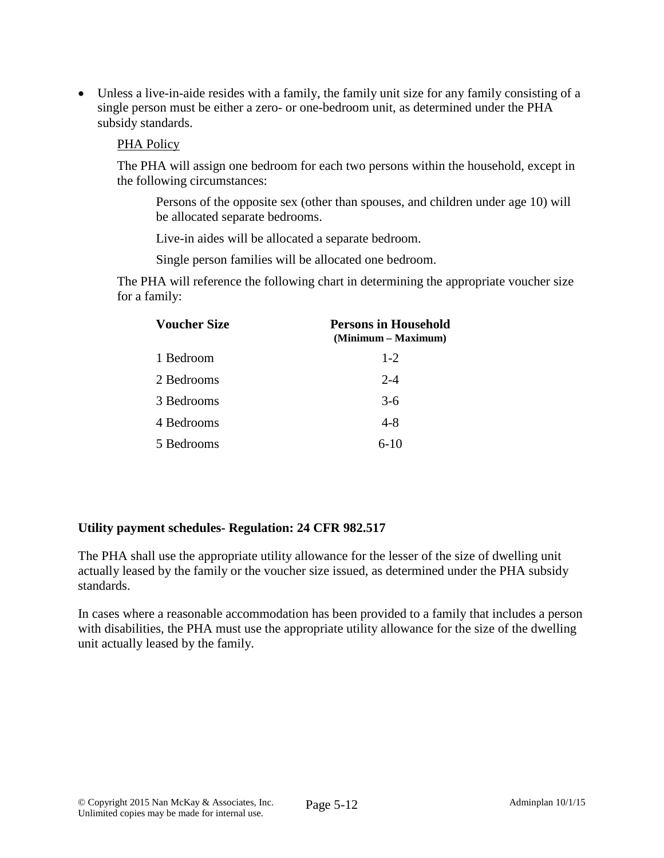• Unless a live-in-aide resides with a family, the family unit size for any family consisting of a single person must be either a zero- or one-bedroom unit, as determined under the PHA subsidy standards.

#### PHA Policy

The PHA will assign one bedroom for each two persons within the household, except in the following circumstances:

Persons of the opposite sex (other than spouses, and children under age 10) will be allocated separate bedrooms.

Live-in aides will be allocated a separate bedroom.

Single person families will be allocated one bedroom.

The PHA will reference the following chart in determining the appropriate voucher size for a family:

| <b>Voucher Size</b> | <b>Persons in Household</b><br>(Minimum – Maximum) |
|---------------------|----------------------------------------------------|
| 1 Bedroom           | $1 - 2$                                            |
| 2 Bedrooms          | $2 - 4$                                            |
| 3 Bedrooms          | $3-6$                                              |
| 4 Bedrooms          | $4 - 8$                                            |
| 5 Bedrooms          | $6 - 10$                                           |

### **Utility payment schedules- Regulation: 24 CFR 982.517**

The PHA shall use the appropriate utility allowance for the lesser of the size of dwelling unit actually leased by the family or the voucher size issued, as determined under the PHA subsidy standards.

In cases where a reasonable accommodation has been provided to a family that includes a person with disabilities, the PHA must use the appropriate utility allowance for the size of the dwelling unit actually leased by the family.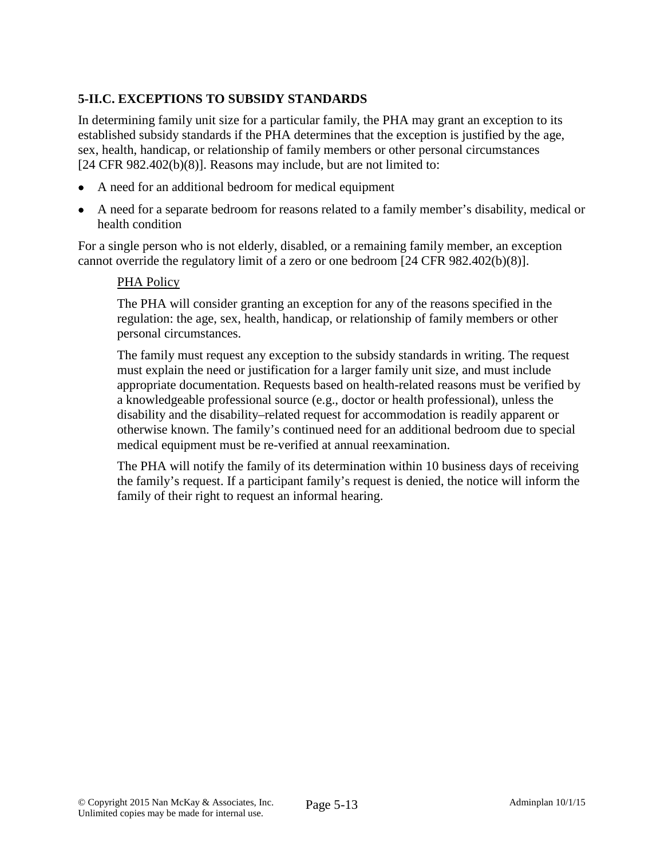# **5-II.C. EXCEPTIONS TO SUBSIDY STANDARDS**

In determining family unit size for a particular family, the PHA may grant an exception to its established subsidy standards if the PHA determines that the exception is justified by the age, sex, health, handicap, or relationship of family members or other personal circumstances [24 CFR 982.402(b)(8)]. Reasons may include, but are not limited to:

- A need for an additional bedroom for medical equipment
- A need for a separate bedroom for reasons related to a family member's disability, medical or health condition

For a single person who is not elderly, disabled, or a remaining family member, an exception cannot override the regulatory limit of a zero or one bedroom [24 CFR 982.402(b)(8)].

#### PHA Policy

The PHA will consider granting an exception for any of the reasons specified in the regulation: the age, sex, health, handicap, or relationship of family members or other personal circumstances.

The family must request any exception to the subsidy standards in writing. The request must explain the need or justification for a larger family unit size, and must include appropriate documentation. Requests based on health-related reasons must be verified by a knowledgeable professional source (e.g., doctor or health professional), unless the disability and the disability–related request for accommodation is readily apparent or otherwise known. The family's continued need for an additional bedroom due to special medical equipment must be re-verified at annual reexamination.

The PHA will notify the family of its determination within 10 business days of receiving the family's request. If a participant family's request is denied, the notice will inform the family of their right to request an informal hearing.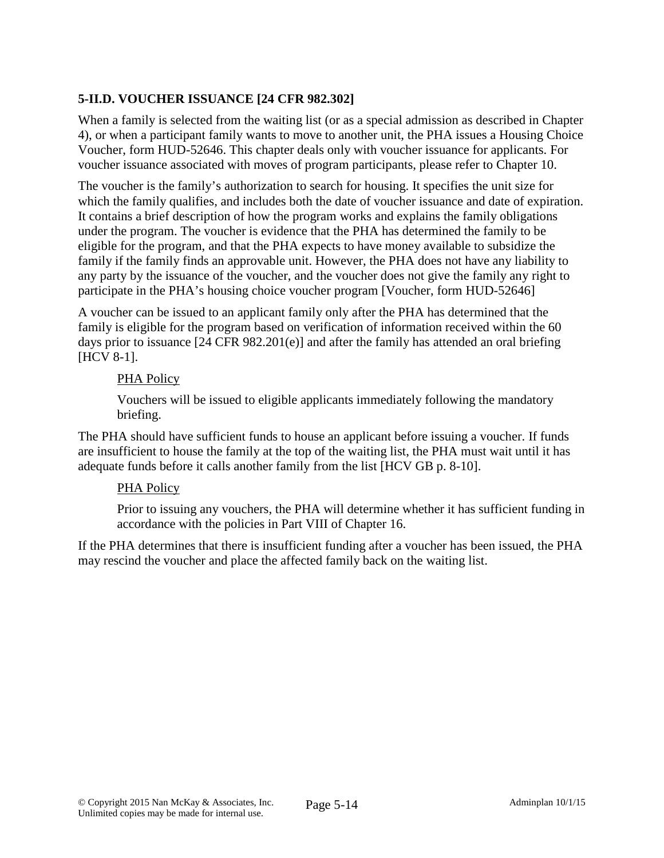# **5-II.D. VOUCHER ISSUANCE [24 CFR 982.302]**

When a family is selected from the waiting list (or as a special admission as described in Chapter 4), or when a participant family wants to move to another unit, the PHA issues a Housing Choice Voucher, form HUD-52646. This chapter deals only with voucher issuance for applicants. For voucher issuance associated with moves of program participants, please refer to Chapter 10.

The voucher is the family's authorization to search for housing. It specifies the unit size for which the family qualifies, and includes both the date of voucher issuance and date of expiration. It contains a brief description of how the program works and explains the family obligations under the program. The voucher is evidence that the PHA has determined the family to be eligible for the program, and that the PHA expects to have money available to subsidize the family if the family finds an approvable unit. However, the PHA does not have any liability to any party by the issuance of the voucher, and the voucher does not give the family any right to participate in the PHA's housing choice voucher program [Voucher, form HUD-52646]

A voucher can be issued to an applicant family only after the PHA has determined that the family is eligible for the program based on verification of information received within the 60 days prior to issuance [24 CFR 982.201(e)] and after the family has attended an oral briefing [HCV 8-1].

### PHA Policy

Vouchers will be issued to eligible applicants immediately following the mandatory briefing.

The PHA should have sufficient funds to house an applicant before issuing a voucher. If funds are insufficient to house the family at the top of the waiting list, the PHA must wait until it has adequate funds before it calls another family from the list [HCV GB p. 8-10].

### PHA Policy

Prior to issuing any vouchers, the PHA will determine whether it has sufficient funding in accordance with the policies in Part VIII of Chapter 16.

If the PHA determines that there is insufficient funding after a voucher has been issued, the PHA may rescind the voucher and place the affected family back on the waiting list.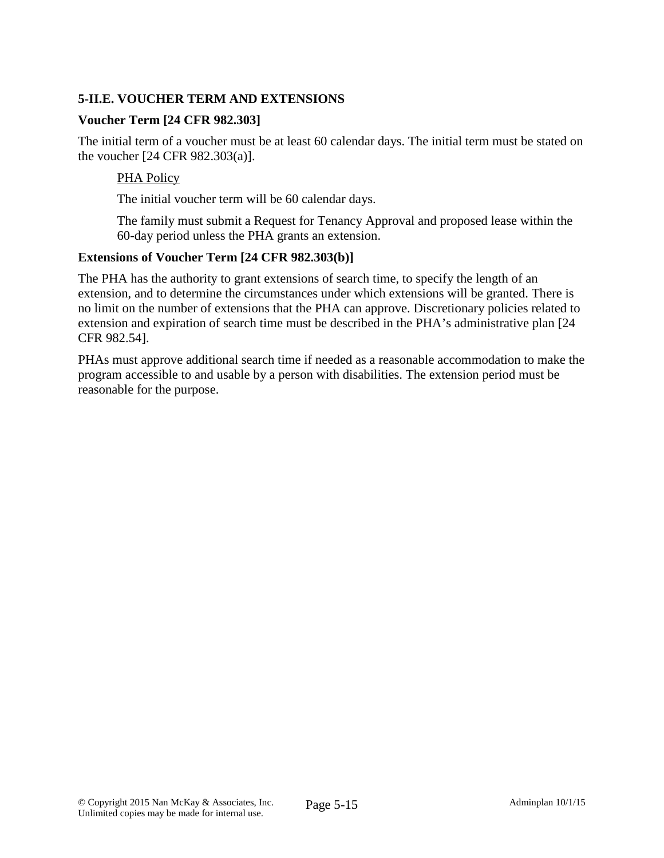# **5-II.E. VOUCHER TERM AND EXTENSIONS**

#### **Voucher Term [24 CFR 982.303]**

The initial term of a voucher must be at least 60 calendar days. The initial term must be stated on the voucher [24 CFR 982.303(a)].

#### PHA Policy

The initial voucher term will be 60 calendar days.

The family must submit a Request for Tenancy Approval and proposed lease within the 60-day period unless the PHA grants an extension.

#### **Extensions of Voucher Term [24 CFR 982.303(b)]**

The PHA has the authority to grant extensions of search time, to specify the length of an extension, and to determine the circumstances under which extensions will be granted. There is no limit on the number of extensions that the PHA can approve. Discretionary policies related to extension and expiration of search time must be described in the PHA's administrative plan [24 CFR 982.54].

PHAs must approve additional search time if needed as a reasonable accommodation to make the program accessible to and usable by a person with disabilities. The extension period must be reasonable for the purpose.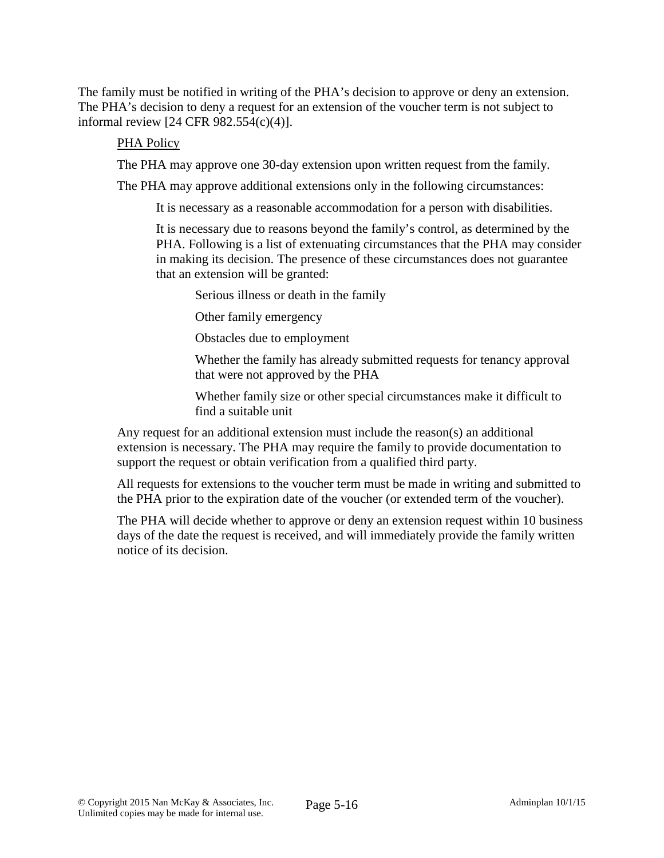The family must be notified in writing of the PHA's decision to approve or deny an extension. The PHA's decision to deny a request for an extension of the voucher term is not subject to informal review [24 CFR 982.554(c)(4)].

#### PHA Policy

The PHA may approve one 30-day extension upon written request from the family.

The PHA may approve additional extensions only in the following circumstances:

It is necessary as a reasonable accommodation for a person with disabilities.

It is necessary due to reasons beyond the family's control, as determined by the PHA. Following is a list of extenuating circumstances that the PHA may consider in making its decision. The presence of these circumstances does not guarantee that an extension will be granted:

Serious illness or death in the family

Other family emergency

Obstacles due to employment

Whether the family has already submitted requests for tenancy approval that were not approved by the PHA

Whether family size or other special circumstances make it difficult to find a suitable unit

Any request for an additional extension must include the reason(s) an additional extension is necessary. The PHA may require the family to provide documentation to support the request or obtain verification from a qualified third party.

All requests for extensions to the voucher term must be made in writing and submitted to the PHA prior to the expiration date of the voucher (or extended term of the voucher).

The PHA will decide whether to approve or deny an extension request within 10 business days of the date the request is received, and will immediately provide the family written notice of its decision.